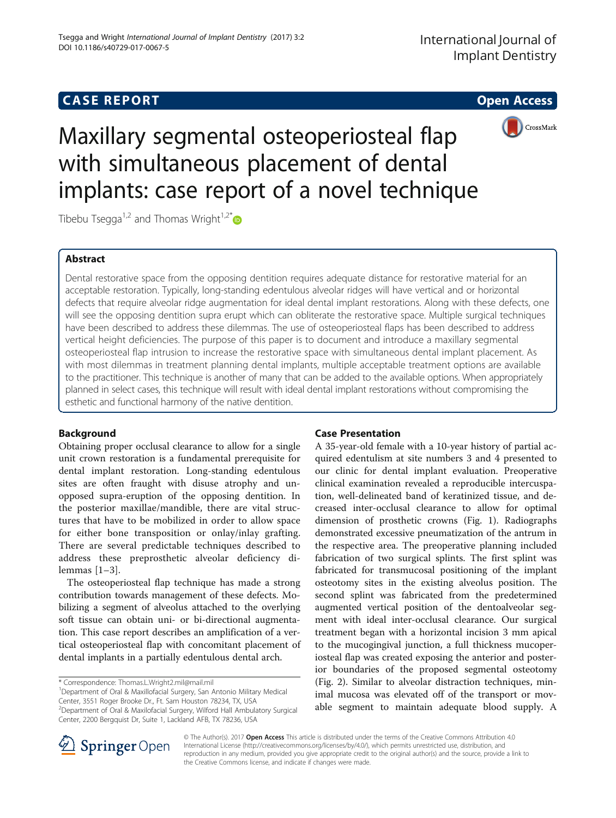# **CASE REPORT CASE REPORT CASE REPORT**



Maxillary segmental osteoperiosteal flap with simultaneous placement of dental implants: case report of a novel technique

Tibebu Tsegga<sup>1,2</sup> and Thomas Wright<sup>1,2[\\*](http://orcid.org/0000-0003-4415-4821)</sup>

## Abstract

Dental restorative space from the opposing dentition requires adequate distance for restorative material for an acceptable restoration. Typically, long-standing edentulous alveolar ridges will have vertical and or horizontal defects that require alveolar ridge augmentation for ideal dental implant restorations. Along with these defects, one will see the opposing dentition supra erupt which can obliterate the restorative space. Multiple surgical techniques have been described to address these dilemmas. The use of osteoperiosteal flaps has been described to address vertical height deficiencies. The purpose of this paper is to document and introduce a maxillary segmental osteoperiosteal flap intrusion to increase the restorative space with simultaneous dental implant placement. As with most dilemmas in treatment planning dental implants, multiple acceptable treatment options are available to the practitioner. This technique is another of many that can be added to the available options. When appropriately planned in select cases, this technique will result with ideal dental implant restorations without compromising the esthetic and functional harmony of the native dentition.

## Background

Obtaining proper occlusal clearance to allow for a single unit crown restoration is a fundamental prerequisite for dental implant restoration. Long-standing edentulous sites are often fraught with disuse atrophy and unopposed supra-eruption of the opposing dentition. In the posterior maxillae/mandible, there are vital structures that have to be mobilized in order to allow space for either bone transposition or onlay/inlay grafting. There are several predictable techniques described to address these preprosthetic alveolar deficiency dilemmas [[1](#page-3-0)–[3](#page-3-0)].

The osteoperiosteal flap technique has made a strong contribution towards management of these defects. Mobilizing a segment of alveolus attached to the overlying soft tissue can obtain uni- or bi-directional augmentation. This case report describes an amplification of a vertical osteoperiosteal flap with concomitant placement of dental implants in a partially edentulous dental arch.

Department of Oral & Maxillofacial Surgery, San Antonio Military Medical Center, 3551 Roger Brooke Dr., Ft. Sam Houston 78234, TX, USA

2 Department of Oral & Maxilofacial Surgery, Wilford Hall Ambulatory Surgical Center, 2200 Bergquist Dr, Suite 1, Lackland AFB, TX 78236, USA

## Case Presentation

A 35-year-old female with a 10-year history of partial acquired edentulism at site numbers 3 and 4 presented to our clinic for dental implant evaluation. Preoperative clinical examination revealed a reproducible intercuspation, well-delineated band of keratinized tissue, and decreased inter-occlusal clearance to allow for optimal dimension of prosthetic crowns (Fig. [1\)](#page-1-0). Radiographs demonstrated excessive pneumatization of the antrum in the respective area. The preoperative planning included fabrication of two surgical splints. The first splint was fabricated for transmucosal positioning of the implant osteotomy sites in the existing alveolus position. The second splint was fabricated from the predetermined augmented vertical position of the dentoalveolar segment with ideal inter-occlusal clearance. Our surgical treatment began with a horizontal incision 3 mm apical to the mucogingival junction, a full thickness mucoperiosteal flap was created exposing the anterior and posterior boundaries of the proposed segmental osteotomy (Fig. [2](#page-1-0)). Similar to alveolar distraction techniques, minimal mucosa was elevated off of the transport or movable segment to maintain adequate blood supply. A



© The Author(s). 2017 Open Access This article is distributed under the terms of the Creative Commons Attribution 4.0 International License ([http://creativecommons.org/licenses/by/4.0/\)](http://creativecommons.org/licenses/by/4.0/), which permits unrestricted use, distribution, and reproduction in any medium, provided you give appropriate credit to the original author(s) and the source, provide a link to the Creative Commons license, and indicate if changes were made.

<sup>\*</sup> Correspondence: [Thomas.L.Wright2.mil@mail.mil](mailto:Thomas.L.Wright2.mil@mail.mil) <sup>1</sup>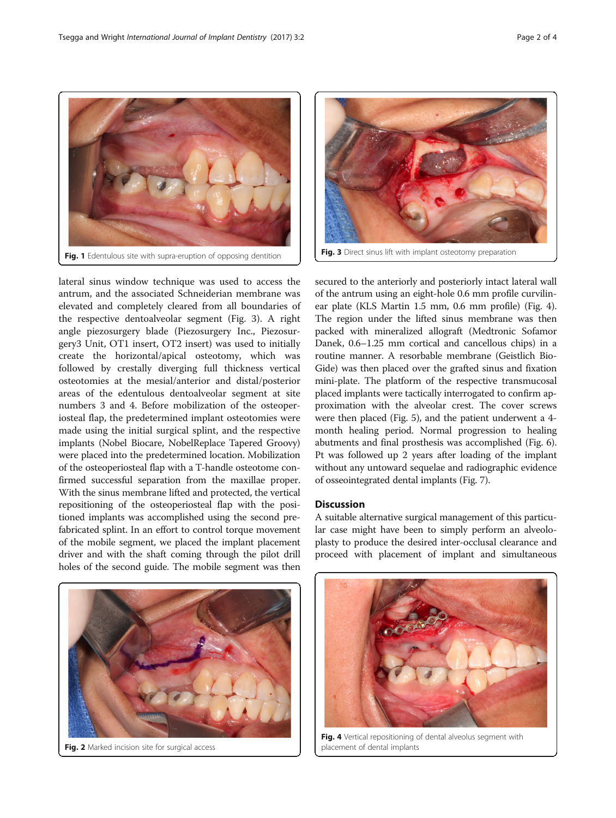<span id="page-1-0"></span>

lateral sinus window technique was used to access the antrum, and the associated Schneiderian membrane was elevated and completely cleared from all boundaries of the respective dentoalveolar segment (Fig. 3). A right angle piezosurgery blade (Piezosurgery Inc., Piezosurgery3 Unit, OT1 insert, OT2 insert) was used to initially create the horizontal/apical osteotomy, which was followed by crestally diverging full thickness vertical osteotomies at the mesial/anterior and distal/posterior areas of the edentulous dentoalveolar segment at site numbers 3 and 4. Before mobilization of the osteoperiosteal flap, the predetermined implant osteotomies were made using the initial surgical splint, and the respective implants (Nobel Biocare, NobelReplace Tapered Groovy) were placed into the predetermined location. Mobilization of the osteoperiosteal flap with a T-handle osteotome confirmed successful separation from the maxillae proper. With the sinus membrane lifted and protected, the vertical repositioning of the osteoperiosteal flap with the positioned implants was accomplished using the second prefabricated splint. In an effort to control torque movement of the mobile segment, we placed the implant placement driver and with the shaft coming through the pilot drill holes of the second guide. The mobile segment was then



Fig. 2 Marked incision site for surgical access



Fig. 3 Direct sinus lift with implant osteotomy preparation

secured to the anteriorly and posteriorly intact lateral wall of the antrum using an eight-hole 0.6 mm profile curvilinear plate (KLS Martin 1.5 mm, 0.6 mm profile) (Fig. 4). The region under the lifted sinus membrane was then packed with mineralized allograft (Medtronic Sofamor Danek, 0.6–1.25 mm cortical and cancellous chips) in a routine manner. A resorbable membrane (Geistlich Bio-Gide) was then placed over the grafted sinus and fixation mini-plate. The platform of the respective transmucosal placed implants were tactically interrogated to confirm approximation with the alveolar crest. The cover screws were then placed (Fig. [5\)](#page-2-0), and the patient underwent a 4 month healing period. Normal progression to healing abutments and final prosthesis was accomplished (Fig. [6](#page-2-0)). Pt was followed up 2 years after loading of the implant without any untoward sequelae and radiographic evidence of osseointegrated dental implants (Fig. [7](#page-2-0)).

### **Discussion**

A suitable alternative surgical management of this particular case might have been to simply perform an alveoloplasty to produce the desired inter-occlusal clearance and proceed with placement of implant and simultaneous



Fig. 4 Vertical repositioning of dental alveolus segment with placement of dental implants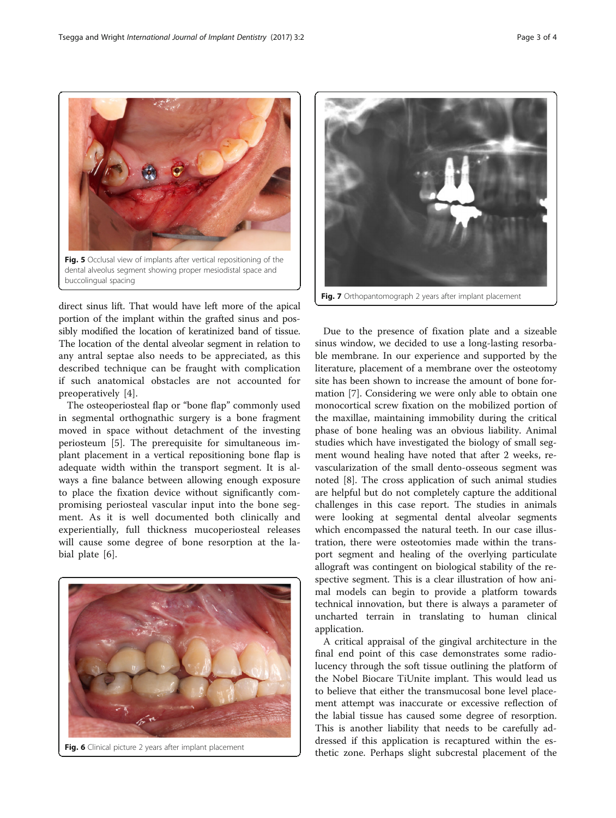direct sinus lift. That would have left more of the apical portion of the implant within the grafted sinus and possibly modified the location of keratinized band of tissue. The location of the dental alveolar segment in relation to any antral septae also needs to be appreciated, as this described technique can be fraught with complication if such anatomical obstacles are not accounted for preoperatively [[4\]](#page-3-0).

<span id="page-2-0"></span>Fig. 5 Occlusal view of implants after vertical repositioning of the dental alveolus segment showing proper mesiodistal space and

buccolingual spacing

The osteoperiosteal flap or "bone flap" commonly used in segmental orthognathic surgery is a bone fragment moved in space without detachment of the investing periosteum [[5\]](#page-3-0). The prerequisite for simultaneous implant placement in a vertical repositioning bone flap is adequate width within the transport segment. It is always a fine balance between allowing enough exposure to place the fixation device without significantly compromising periosteal vascular input into the bone segment. As it is well documented both clinically and experientially, full thickness mucoperiosteal releases will cause some degree of bone resorption at the labial plate [[6\]](#page-3-0).





ble membrane. In our experience and supported by the literature, placement of a membrane over the osteotomy site has been shown to increase the amount of bone formation [[7\]](#page-3-0). Considering we were only able to obtain one monocortical screw fixation on the mobilized portion of the maxillae, maintaining immobility during the critical phase of bone healing was an obvious liability. Animal studies which have investigated the biology of small segment wound healing have noted that after 2 weeks, revascularization of the small dento-osseous segment was noted [\[8](#page-3-0)]. The cross application of such animal studies are helpful but do not completely capture the additional challenges in this case report. The studies in animals were looking at segmental dental alveolar segments which encompassed the natural teeth. In our case illustration, there were osteotomies made within the transport segment and healing of the overlying particulate allograft was contingent on biological stability of the respective segment. This is a clear illustration of how animal models can begin to provide a platform towards technical innovation, but there is always a parameter of uncharted terrain in translating to human clinical application.

A critical appraisal of the gingival architecture in the final end point of this case demonstrates some radiolucency through the soft tissue outlining the platform of the Nobel Biocare TiUnite implant. This would lead us to believe that either the transmucosal bone level placement attempt was inaccurate or excessive reflection of the labial tissue has caused some degree of resorption. This is another liability that needs to be carefully addressed if this application is recaptured within the esthetic zone. Perhaps slight subcrestal placement of the